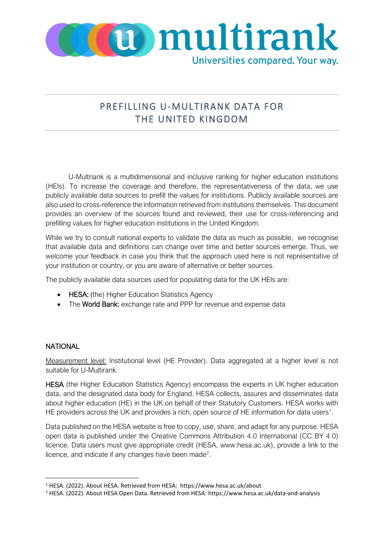

## PREFILLING U-MULTIRANK DATA FOR THE UNITED KINGDOM

U-Multriank is a multidimensional and inclusive ranking for higher education institutions (HEIs). To increase the coverage and therefore, the representativeness of the data, we use publicly available data sources to prefill the values for institutions. Publicly available sources are also used to cross-reference the information retrieved from institutions themselves. This document provides an overview of the sources found and reviewed, their use for cross-referencing and prefilling values for higher education institutions in the United Kingdom.

While we try to consult national experts to validate the data as much as possible, we recognise that available data and definitions can change over time and better sources emerge. Thus, we welcome your feedback in case you think that the approach used here is not representative of your institution or country, or you are aware of alternative or better sources.

The publicly available data sources used for populating data for the UK HEIs are:

- HESA: (the) Higher Education Statistics Agency
- The World Bank: exchange rate and PPP for revenue and expense data

## **NATIONAL**

Measurement level: Institutional level (HE Provider). Data aggregated at a higher level is not suitable for U-Multirank.

HESA (the Higher Education Statistics Agency) encompass the experts in UK higher education data, and the designated data body for England. HESA collects, assures and disseminates data about higher education (HE) in the UK on behalf of their Statutory Customers. HESA works with HE providers across the UK and provides a rich, open source of HE information for data users<sup>1</sup>.

Data published on the HESA website is free to copy, use, share, and adapt for any purpose. HESA open data is published under the Creative Commons Attribution 4.0 International (CC BY 4.0) licence. Data users must give appropriate credit (HESA, www.hesa.ac.uk), provide a link to the licence, and indicate if any changes have been made<sup>2</sup>.

<span id="page-0-0"></span><sup>1</sup> HESA. (2022). About HESA. Retrieved from HESA: https://www.hesa.ac.uk/about

<span id="page-0-1"></span><sup>2</sup> HESA. (2022). About HESA Open Data. Retrieved from HESA: https://www.hesa.ac.uk/data-and-analysis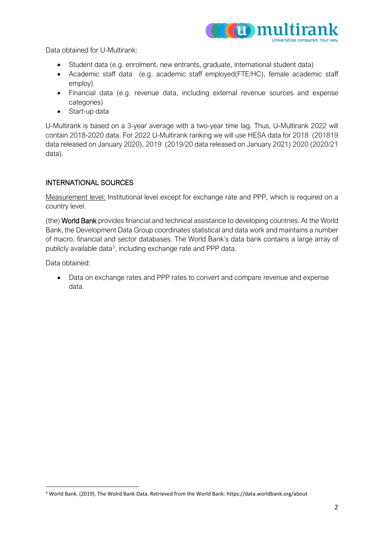

Data obtained for U-Multirank:

- Student data (e.g. enrolment, new entrants, graduate, international student data)
- Academic staff data (e.g. academic staff employed(FTE/HC), female academic staff employ)
- Financial data (e.g. revenue data, including external revenue sources and expense categories)
- Start-up data

U-Multirank is based on a 3-year average with a two-year time lag. Thus, U-Multirank 2022 will contain 2018-2020 data. For 2022 U-Multirank ranking we will use HESA data for 2018 (201819 data released on January 2020), 2019 (2019/20 data released on January 2021) 2020 (2020/21 data).

## INTERNATIONAL SOURCES

Measurement level: Institutional level except for exchange rate and PPP, which is required on a country level.

(the) World Bank provides financial and technical assistance to developing countries. At the World Bank, the Development Data Group coordinates statistical and data work and maintains a number of macro, financial and sector databases. The World Bank's data bank contains a large array of publicly available data<sup>[3](#page-1-0)</sup>, including exchange rate and PPP data.

Data obtained:

• Data on exchange rates and PPP rates to convert and compare revenue and expense data.

<span id="page-1-0"></span><sup>3</sup> World Bank. (2019). The Wolrd Bank Data. Retrieved from the World Bank: https://data.worldbank.org/about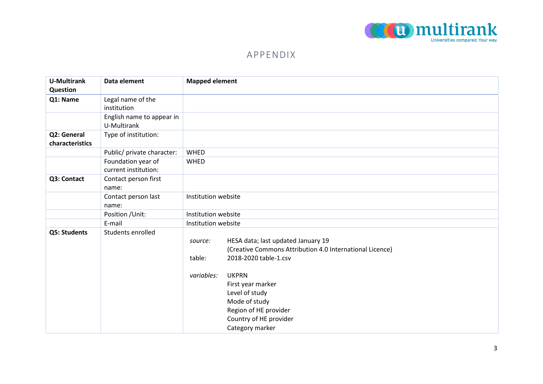

## APPENDIX

| <b>U-Multirank</b> | Data element               | <b>Mapped element</b>                                    |  |
|--------------------|----------------------------|----------------------------------------------------------|--|
| Question           |                            |                                                          |  |
| Q1: Name           | Legal name of the          |                                                          |  |
|                    | institution                |                                                          |  |
|                    | English name to appear in  |                                                          |  |
|                    | U-Multirank                |                                                          |  |
| Q2: General        | Type of institution:       |                                                          |  |
| characteristics    |                            |                                                          |  |
|                    | Public/ private character: | WHED                                                     |  |
|                    | Foundation year of         | WHED                                                     |  |
|                    | current institution:       |                                                          |  |
| Q3: Contact        | Contact person first       |                                                          |  |
|                    | name:                      |                                                          |  |
|                    | Contact person last        | Institution website                                      |  |
|                    | name:                      |                                                          |  |
|                    | Position / Unit:           | Institution website                                      |  |
|                    | E-mail                     | Institution website                                      |  |
| Q5: Students       | Students enrolled          |                                                          |  |
|                    |                            | HESA data; last updated January 19<br>source:            |  |
|                    |                            | (Creative Commons Attribution 4.0 International Licence) |  |
|                    |                            | 2018-2020 table-1.csv<br>table:                          |  |
|                    |                            |                                                          |  |
|                    |                            | <b>UKPRN</b><br>variables:                               |  |
|                    |                            | First year marker                                        |  |
|                    |                            | Level of study                                           |  |
|                    |                            | Mode of study                                            |  |
|                    |                            | Region of HE provider                                    |  |
|                    |                            | Country of HE provider                                   |  |
|                    |                            | Category marker                                          |  |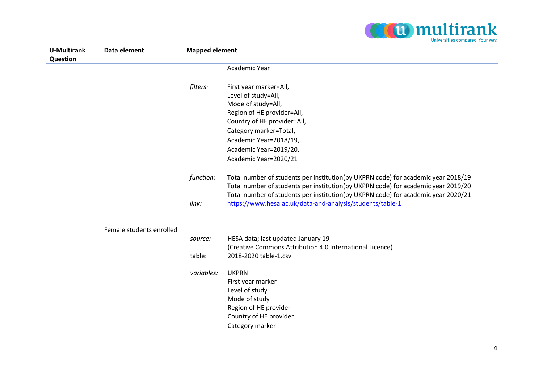

| <b>U-Multirank</b><br>Question | Data element             | <b>Mapped element</b>                                                                                                                                                                                                                                                                                                                          |  |
|--------------------------------|--------------------------|------------------------------------------------------------------------------------------------------------------------------------------------------------------------------------------------------------------------------------------------------------------------------------------------------------------------------------------------|--|
|                                |                          | Academic Year                                                                                                                                                                                                                                                                                                                                  |  |
|                                |                          | filters:<br>First year marker=All,<br>Level of study=All,<br>Mode of study=All,<br>Region of HE provider=All,<br>Country of HE provider=All,<br>Category marker=Total,<br>Academic Year=2018/19,<br>Academic Year=2019/20,<br>Academic Year=2020/21                                                                                            |  |
|                                |                          | Total number of students per institution(by UKPRN code) for academic year 2018/19<br>function:<br>Total number of students per institution(by UKPRN code) for academic year 2019/20<br>Total number of students per institution(by UKPRN code) for academic year 2020/21<br>link:<br>https://www.hesa.ac.uk/data-and-analysis/students/table-1 |  |
|                                | Female students enrolled | HESA data; last updated January 19<br>source:<br>(Creative Commons Attribution 4.0 International Licence)<br>2018-2020 table-1.csv<br>table:<br>variables:<br><b>UKPRN</b><br>First year marker<br>Level of study<br>Mode of study<br>Region of HE provider<br>Country of HE provider                                                          |  |
|                                |                          | Category marker                                                                                                                                                                                                                                                                                                                                |  |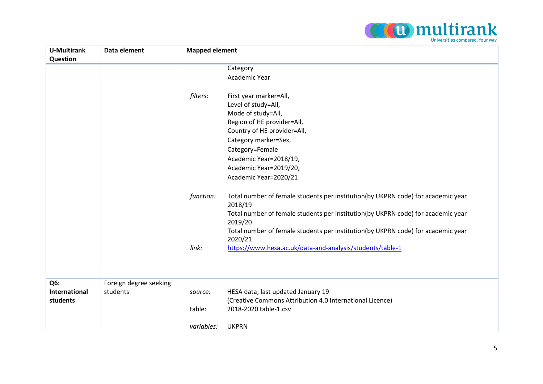

| <b>U-Multirank</b>   | Data element           | <b>Mapped element</b> |                                                                                             |
|----------------------|------------------------|-----------------------|---------------------------------------------------------------------------------------------|
| Question             |                        |                       |                                                                                             |
|                      |                        |                       | Category                                                                                    |
|                      |                        |                       | Academic Year                                                                               |
|                      |                        |                       |                                                                                             |
|                      |                        | filters:              | First year marker=All,                                                                      |
|                      |                        |                       | Level of study=All,                                                                         |
|                      |                        |                       | Mode of study=All,                                                                          |
|                      |                        |                       | Region of HE provider=All,                                                                  |
|                      |                        |                       | Country of HE provider=All,                                                                 |
|                      |                        |                       | Category marker=Sex,                                                                        |
|                      |                        |                       | Category=Female                                                                             |
|                      |                        |                       | Academic Year=2018/19,                                                                      |
|                      |                        |                       | Academic Year=2019/20,                                                                      |
|                      |                        |                       | Academic Year=2020/21                                                                       |
|                      |                        |                       |                                                                                             |
|                      |                        | function:             | Total number of female students per institution(by UKPRN code) for academic year<br>2018/19 |
|                      |                        |                       | Total number of female students per institution(by UKPRN code) for academic year<br>2019/20 |
|                      |                        |                       | Total number of female students per institution(by UKPRN code) for academic year<br>2020/21 |
|                      |                        | link:                 | https://www.hesa.ac.uk/data-and-analysis/students/table-1                                   |
|                      |                        |                       |                                                                                             |
|                      |                        |                       |                                                                                             |
|                      |                        |                       |                                                                                             |
| Q6:                  | Foreign degree seeking |                       |                                                                                             |
| <b>International</b> | students               | source:               | HESA data; last updated January 19                                                          |
| students             |                        |                       | (Creative Commons Attribution 4.0 International Licence)                                    |
|                      |                        | table:                | 2018-2020 table-1.csv                                                                       |
|                      |                        |                       |                                                                                             |
|                      |                        | variables:            | <b>UKPRN</b>                                                                                |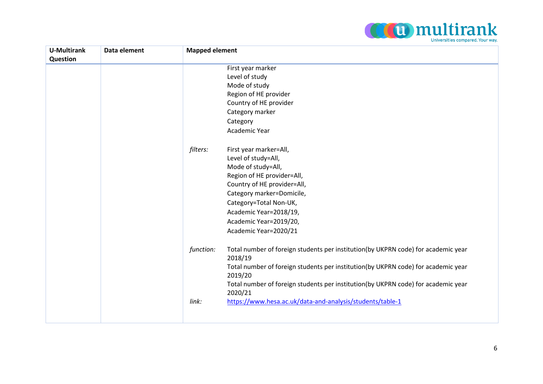

| <b>U-Multirank</b><br>Question | Data element | <b>Mapped element</b>                                                                                                                                                                                                                                                                                                                                                                                              |
|--------------------------------|--------------|--------------------------------------------------------------------------------------------------------------------------------------------------------------------------------------------------------------------------------------------------------------------------------------------------------------------------------------------------------------------------------------------------------------------|
|                                |              | First year marker<br>Level of study<br>Mode of study<br>Region of HE provider<br>Country of HE provider<br>Category marker<br>Category<br>Academic Year<br>filters:<br>First year marker=All,<br>Level of study=All,<br>Mode of study=All,<br>Region of HE provider=All,<br>Country of HE provider=All,<br>Category marker=Domicile,<br>Category=Total Non-UK,<br>Academic Year=2018/19,<br>Academic Year=2019/20, |
|                                |              | Academic Year=2020/21<br>Total number of foreign students per institution(by UKPRN code) for academic year<br>function:<br>2018/19<br>Total number of foreign students per institution(by UKPRN code) for academic year<br>2019/20<br>Total number of foreign students per institution(by UKPRN code) for academic year<br>2020/21<br>https://www.hesa.ac.uk/data-and-analysis/students/table-1<br>link:           |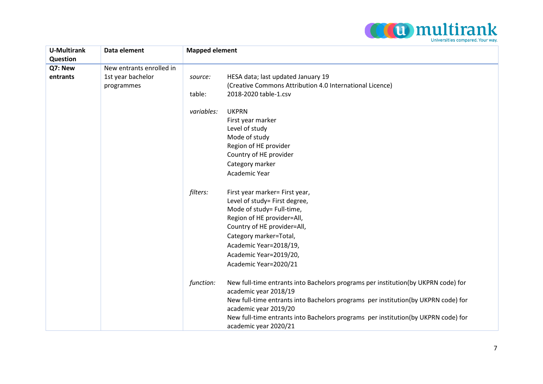

| <b>U-Multirank</b>  | Data element                    | <b>Mapped element</b>                                                                                                                                                                                                                                                                                                                               |  |
|---------------------|---------------------------------|-----------------------------------------------------------------------------------------------------------------------------------------------------------------------------------------------------------------------------------------------------------------------------------------------------------------------------------------------------|--|
| Question            | New entrants enrolled in        |                                                                                                                                                                                                                                                                                                                                                     |  |
| Q7: New<br>entrants | 1st year bachelor<br>programmes | HESA data; last updated January 19<br>source:<br>(Creative Commons Attribution 4.0 International Licence)<br>2018-2020 table-1.csv<br>table:                                                                                                                                                                                                        |  |
|                     |                                 | variables:<br><b>UKPRN</b><br>First year marker<br>Level of study<br>Mode of study<br>Region of HE provider<br>Country of HE provider<br>Category marker<br>Academic Year                                                                                                                                                                           |  |
|                     |                                 | filters:<br>First year marker= First year,<br>Level of study= First degree,<br>Mode of study= Full-time,<br>Region of HE provider=All,<br>Country of HE provider=All,<br>Category marker=Total,<br>Academic Year=2018/19,<br>Academic Year=2019/20,<br>Academic Year=2020/21                                                                        |  |
|                     |                                 | function:<br>New full-time entrants into Bachelors programs per institution(by UKPRN code) for<br>academic year 2018/19<br>New full-time entrants into Bachelors programs per institution(by UKPRN code) for<br>academic year 2019/20<br>New full-time entrants into Bachelors programs per institution(by UKPRN code) for<br>academic year 2020/21 |  |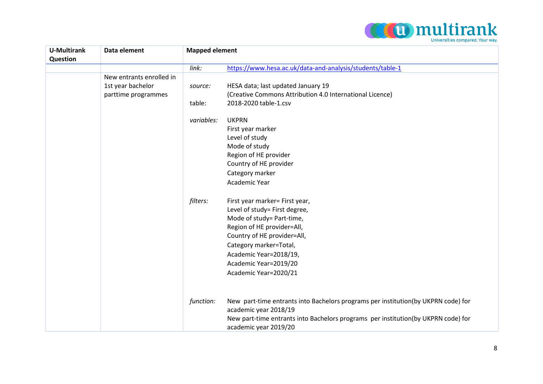

| <b>U-Multirank</b> | Data element             | <b>Mapped element</b> |                                                                                                            |
|--------------------|--------------------------|-----------------------|------------------------------------------------------------------------------------------------------------|
| Question           |                          |                       |                                                                                                            |
|                    |                          | link:                 | https://www.hesa.ac.uk/data-and-analysis/students/table-1                                                  |
|                    | New entrants enrolled in |                       |                                                                                                            |
|                    | 1st year bachelor        | source:               | HESA data; last updated January 19                                                                         |
|                    | parttime programmes      |                       | (Creative Commons Attribution 4.0 International Licence)                                                   |
|                    |                          | table:                | 2018-2020 table-1.csv                                                                                      |
|                    |                          | variables:            | <b>UKPRN</b>                                                                                               |
|                    |                          |                       | First year marker                                                                                          |
|                    |                          |                       | Level of study                                                                                             |
|                    |                          |                       | Mode of study                                                                                              |
|                    |                          |                       | Region of HE provider                                                                                      |
|                    |                          |                       | Country of HE provider                                                                                     |
|                    |                          |                       | Category marker                                                                                            |
|                    |                          |                       | Academic Year                                                                                              |
|                    |                          | filters:              | First year marker= First year,                                                                             |
|                    |                          |                       | Level of study= First degree,                                                                              |
|                    |                          |                       | Mode of study= Part-time,                                                                                  |
|                    |                          |                       | Region of HE provider=All,                                                                                 |
|                    |                          |                       | Country of HE provider=All,                                                                                |
|                    |                          |                       | Category marker=Total,                                                                                     |
|                    |                          |                       | Academic Year=2018/19,                                                                                     |
|                    |                          |                       | Academic Year=2019/20                                                                                      |
|                    |                          |                       | Academic Year=2020/21                                                                                      |
|                    |                          |                       |                                                                                                            |
|                    |                          | function:             | New part-time entrants into Bachelors programs per institution(by UKPRN code) for                          |
|                    |                          |                       | academic year 2018/19                                                                                      |
|                    |                          |                       | New part-time entrants into Bachelors programs per institution(by UKPRN code) for<br>academic year 2019/20 |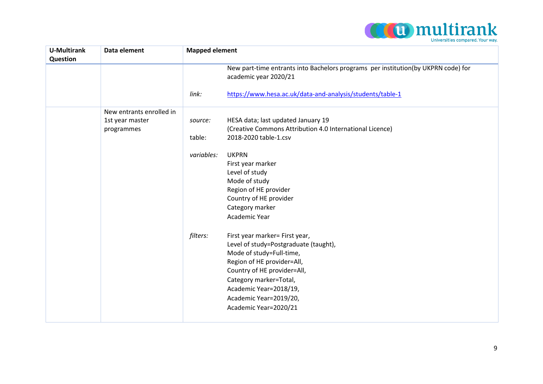

| <b>U-Multirank</b> | Data element             | <b>Mapped element</b> |                                                                                                            |
|--------------------|--------------------------|-----------------------|------------------------------------------------------------------------------------------------------------|
| Question           |                          |                       |                                                                                                            |
|                    |                          |                       | New part-time entrants into Bachelors programs per institution(by UKPRN code) for<br>academic year 2020/21 |
|                    |                          | link:                 | https://www.hesa.ac.uk/data-and-analysis/students/table-1                                                  |
|                    | New entrants enrolled in |                       |                                                                                                            |
|                    | 1st year master          | source:               | HESA data; last updated January 19                                                                         |
|                    | programmes               |                       | (Creative Commons Attribution 4.0 International Licence)                                                   |
|                    |                          | table:                | 2018-2020 table-1.csv                                                                                      |
|                    |                          | variables:            | <b>UKPRN</b>                                                                                               |
|                    |                          |                       | First year marker                                                                                          |
|                    |                          |                       | Level of study                                                                                             |
|                    |                          |                       | Mode of study                                                                                              |
|                    |                          |                       | Region of HE provider                                                                                      |
|                    |                          |                       | Country of HE provider                                                                                     |
|                    |                          |                       | Category marker                                                                                            |
|                    |                          |                       | Academic Year                                                                                              |
|                    |                          | filters:              | First year marker= First year,                                                                             |
|                    |                          |                       | Level of study=Postgraduate (taught),                                                                      |
|                    |                          |                       | Mode of study=Full-time,                                                                                   |
|                    |                          |                       | Region of HE provider=All,                                                                                 |
|                    |                          |                       | Country of HE provider=All,                                                                                |
|                    |                          |                       | Category marker=Total,                                                                                     |
|                    |                          |                       | Academic Year=2018/19,                                                                                     |
|                    |                          |                       | Academic Year=2019/20,                                                                                     |
|                    |                          |                       | Academic Year=2020/21                                                                                      |
|                    |                          |                       |                                                                                                            |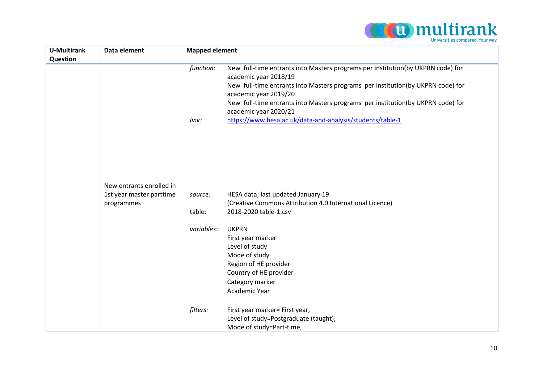

| <b>U-Multirank</b><br>Question | Data element                                                       | <b>Mapped element</b>                                                                                                                                                                                                                                                                                                                                                                                               |  |
|--------------------------------|--------------------------------------------------------------------|---------------------------------------------------------------------------------------------------------------------------------------------------------------------------------------------------------------------------------------------------------------------------------------------------------------------------------------------------------------------------------------------------------------------|--|
|                                |                                                                    | New full-time entrants into Masters programs per institution(by UKPRN code) for<br>function:<br>academic year 2018/19<br>New full-time entrants into Masters programs per institution(by UKPRN code) for<br>academic year 2019/20<br>New full-time entrants into Masters programs per institution(by UKPRN code) for<br>academic year 2020/21<br>https://www.hesa.ac.uk/data-and-analysis/students/table-1<br>link: |  |
|                                | New entrants enrolled in<br>1st year master parttime<br>programmes | HESA data; last updated January 19<br>source:<br>(Creative Commons Attribution 4.0 International Licence)<br>table:<br>2018-2020 table-1.csv<br>variables:<br><b>UKPRN</b><br>First year marker<br>Level of study<br>Mode of study<br>Region of HE provider<br>Country of HE provider<br>Category marker<br>Academic Year<br>filters:<br>First year marker= First year,<br>Level of study=Postgraduate (taught),    |  |
|                                |                                                                    | Mode of study=Part-time,                                                                                                                                                                                                                                                                                                                                                                                            |  |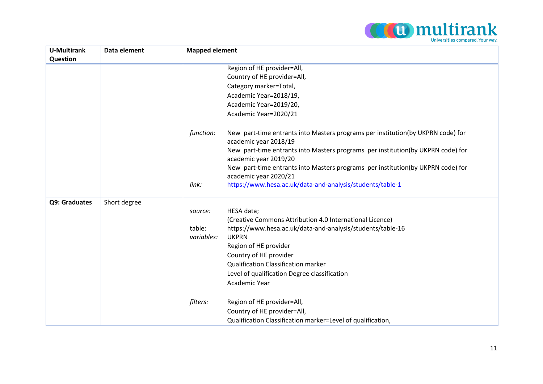

| <b>U-Multirank</b><br>Question | Data element | <b>Mapped element</b>                                                                                    |
|--------------------------------|--------------|----------------------------------------------------------------------------------------------------------|
|                                |              | Region of HE provider=All,                                                                               |
|                                |              | Country of HE provider=All,                                                                              |
|                                |              | Category marker=Total,                                                                                   |
|                                |              | Academic Year=2018/19,                                                                                   |
|                                |              | Academic Year=2019/20,                                                                                   |
|                                |              | Academic Year=2020/21                                                                                    |
|                                |              |                                                                                                          |
|                                |              | function:<br>New part-time entrants into Masters programs per institution(by UKPRN code) for             |
|                                |              | academic year 2018/19                                                                                    |
|                                |              | New part-time entrants into Masters programs per institution(by UKPRN code) for<br>academic year 2019/20 |
|                                |              | New part-time entrants into Masters programs per institution(by UKPRN code) for                          |
|                                |              | academic year 2020/21                                                                                    |
|                                |              | https://www.hesa.ac.uk/data-and-analysis/students/table-1<br>link:                                       |
| Q9: Graduates                  | Short degree |                                                                                                          |
|                                |              | HESA data;<br>source:                                                                                    |
|                                |              | (Creative Commons Attribution 4.0 International Licence)                                                 |
|                                |              | table:<br>https://www.hesa.ac.uk/data-and-analysis/students/table-16                                     |
|                                |              | <b>UKPRN</b><br>variables:                                                                               |
|                                |              | Region of HE provider                                                                                    |
|                                |              | Country of HE provider                                                                                   |
|                                |              | <b>Qualification Classification marker</b>                                                               |
|                                |              | Level of qualification Degree classification                                                             |
|                                |              | Academic Year                                                                                            |
|                                |              | filters:<br>Region of HE provider=All,                                                                   |
|                                |              | Country of HE provider=All,                                                                              |
|                                |              | Qualification Classification marker=Level of qualification,                                              |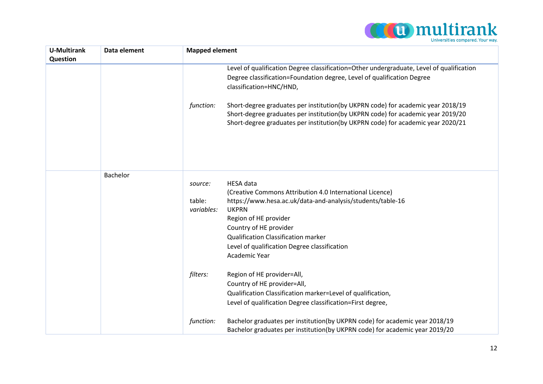

| <b>U-Multirank</b><br>Question | Data element | <b>Mapped element</b> |                                                                                                                                                                                                                                                       |
|--------------------------------|--------------|-----------------------|-------------------------------------------------------------------------------------------------------------------------------------------------------------------------------------------------------------------------------------------------------|
|                                |              |                       | Level of qualification Degree classification=Other undergraduate, Level of qualification<br>Degree classification=Foundation degree, Level of qualification Degree                                                                                    |
|                                |              |                       | classification=HNC/HND,                                                                                                                                                                                                                               |
|                                |              | function:             | Short-degree graduates per institution(by UKPRN code) for academic year 2018/19<br>Short-degree graduates per institution(by UKPRN code) for academic year 2019/20<br>Short-degree graduates per institution(by UKPRN code) for academic year 2020/21 |
|                                |              |                       |                                                                                                                                                                                                                                                       |
|                                | Bachelor     |                       |                                                                                                                                                                                                                                                       |
|                                |              | source:               | <b>HESA</b> data                                                                                                                                                                                                                                      |
|                                |              | table:                | (Creative Commons Attribution 4.0 International Licence)<br>https://www.hesa.ac.uk/data-and-analysis/students/table-16                                                                                                                                |
|                                |              | variables:            | <b>UKPRN</b>                                                                                                                                                                                                                                          |
|                                |              |                       | Region of HE provider                                                                                                                                                                                                                                 |
|                                |              |                       | Country of HE provider                                                                                                                                                                                                                                |
|                                |              |                       | <b>Qualification Classification marker</b>                                                                                                                                                                                                            |
|                                |              |                       | Level of qualification Degree classification                                                                                                                                                                                                          |
|                                |              |                       | Academic Year                                                                                                                                                                                                                                         |
|                                |              | filters:              | Region of HE provider=All,                                                                                                                                                                                                                            |
|                                |              |                       | Country of HE provider=All,                                                                                                                                                                                                                           |
|                                |              |                       | Qualification Classification marker=Level of qualification,                                                                                                                                                                                           |
|                                |              |                       | Level of qualification Degree classification=First degree,                                                                                                                                                                                            |
|                                |              | function:             | Bachelor graduates per institution(by UKPRN code) for academic year 2018/19                                                                                                                                                                           |
|                                |              |                       | Bachelor graduates per institution(by UKPRN code) for academic year 2019/20                                                                                                                                                                           |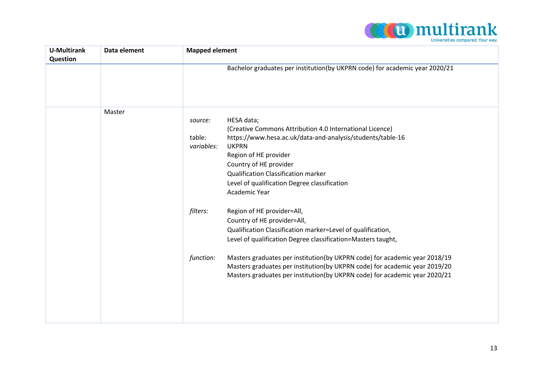

| <b>U-Multirank</b> | Data element | <b>Mapped element</b>                                                                                                                                                                                                                                                                                                                                     |
|--------------------|--------------|-----------------------------------------------------------------------------------------------------------------------------------------------------------------------------------------------------------------------------------------------------------------------------------------------------------------------------------------------------------|
| Question           |              |                                                                                                                                                                                                                                                                                                                                                           |
|                    |              | Bachelor graduates per institution(by UKPRN code) for academic year 2020/21                                                                                                                                                                                                                                                                               |
|                    | Master       |                                                                                                                                                                                                                                                                                                                                                           |
|                    |              | HESA data;<br>source:<br>(Creative Commons Attribution 4.0 International Licence)<br>https://www.hesa.ac.uk/data-and-analysis/students/table-16<br>table:<br>variables:<br><b>UKPRN</b><br>Region of HE provider<br>Country of HE provider<br><b>Qualification Classification marker</b><br>Level of qualification Degree classification<br>Academic Year |
|                    |              | filters:<br>Region of HE provider=All,<br>Country of HE provider=All,<br>Qualification Classification marker=Level of qualification,<br>Level of qualification Degree classification=Masters taught,                                                                                                                                                      |
|                    |              | Masters graduates per institution(by UKPRN code) for academic year 2018/19<br>function:<br>Masters graduates per institution(by UKPRN code) for academic year 2019/20<br>Masters graduates per institution(by UKPRN code) for academic year 2020/21                                                                                                       |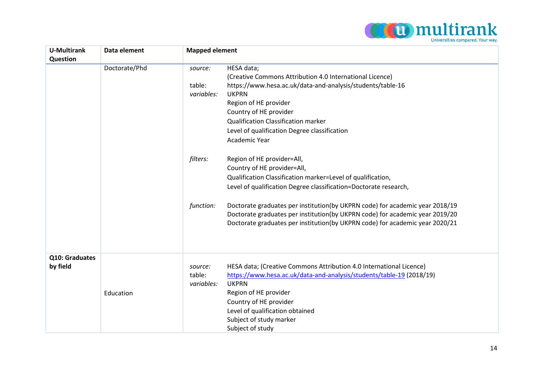

| <b>U-Multirank</b><br>Question | Data element  | <b>Mapped element</b>                                                                                                                                                                                                                                                                                                                                                                                                       |  |
|--------------------------------|---------------|-----------------------------------------------------------------------------------------------------------------------------------------------------------------------------------------------------------------------------------------------------------------------------------------------------------------------------------------------------------------------------------------------------------------------------|--|
|                                | Doctorate/Phd | HESA data;<br>source:<br>(Creative Commons Attribution 4.0 International Licence)<br>https://www.hesa.ac.uk/data-and-analysis/students/table-16<br>table:<br><b>UKPRN</b><br>variables:<br>Region of HE provider<br>Country of HE provider<br><b>Qualification Classification marker</b><br>Level of qualification Degree classification<br>Academic Year<br>filters:<br>Region of HE provider=All,                         |  |
|                                |               | Country of HE provider=All,<br>Qualification Classification marker=Level of qualification,<br>Level of qualification Degree classification=Doctorate research,<br>Doctorate graduates per institution(by UKPRN code) for academic year 2018/19<br>function:<br>Doctorate graduates per institution(by UKPRN code) for academic year 2019/20<br>Doctorate graduates per institution(by UKPRN code) for academic year 2020/21 |  |
| Q10: Graduates<br>by field     | Education     | HESA data; (Creative Commons Attribution 4.0 International Licence)<br>source:<br>https://www.hesa.ac.uk/data-and-analysis/students/table-19 (2018/19)<br>table:<br><b>UKPRN</b><br>variables:<br>Region of HE provider<br>Country of HE provider<br>Level of qualification obtained<br>Subject of study marker<br>Subject of study                                                                                         |  |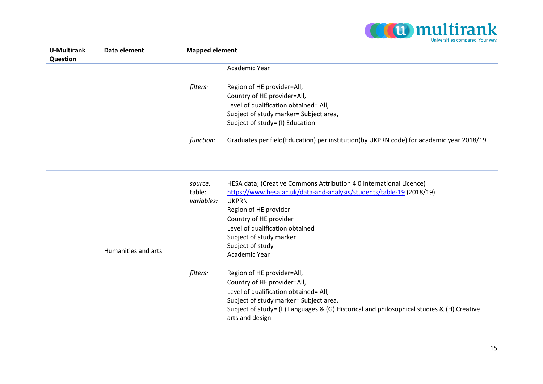

| <b>U-Multirank</b><br>Question | Data element        | <b>Mapped element</b>                                                                                                                                                                                                                                                                                                                                |  |
|--------------------------------|---------------------|------------------------------------------------------------------------------------------------------------------------------------------------------------------------------------------------------------------------------------------------------------------------------------------------------------------------------------------------------|--|
|                                |                     | Academic Year                                                                                                                                                                                                                                                                                                                                        |  |
|                                |                     | filters:<br>Region of HE provider=All,<br>Country of HE provider=All,<br>Level of qualification obtained= All,<br>Subject of study marker= Subject area,<br>Subject of study= (I) Education                                                                                                                                                          |  |
|                                |                     | Graduates per field(Education) per institution(by UKPRN code) for academic year 2018/19<br>function:                                                                                                                                                                                                                                                 |  |
|                                | Humanities and arts | HESA data; (Creative Commons Attribution 4.0 International Licence)<br>source:<br>https://www.hesa.ac.uk/data-and-analysis/students/table-19 (2018/19)<br>table:<br><b>UKPRN</b><br>variables:<br>Region of HE provider<br>Country of HE provider<br>Level of qualification obtained<br>Subject of study marker<br>Subject of study<br>Academic Year |  |
|                                |                     | filters:<br>Region of HE provider=All,<br>Country of HE provider=All,<br>Level of qualification obtained= All,<br>Subject of study marker= Subject area,<br>Subject of study= (F) Languages & (G) Historical and philosophical studies & (H) Creative<br>arts and design                                                                             |  |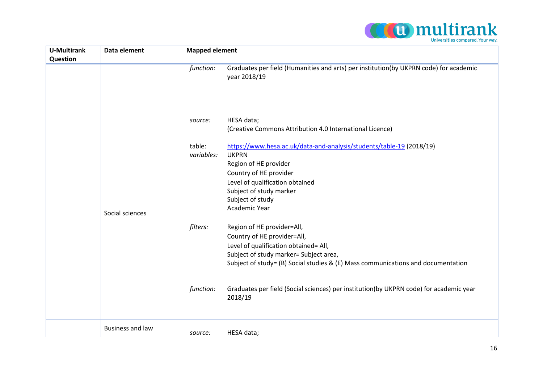

| <b>U-Multirank</b><br>Question | Data element            | <b>Mapped element</b>                                                                                                                                                                                                                                                                                                                                          |
|--------------------------------|-------------------------|----------------------------------------------------------------------------------------------------------------------------------------------------------------------------------------------------------------------------------------------------------------------------------------------------------------------------------------------------------------|
|                                |                         | Graduates per field (Humanities and arts) per institution(by UKPRN code) for academic<br>function:<br>year 2018/19                                                                                                                                                                                                                                             |
|                                |                         | HESA data;<br>source:<br>(Creative Commons Attribution 4.0 International Licence)                                                                                                                                                                                                                                                                              |
|                                | Social sciences         | https://www.hesa.ac.uk/data-and-analysis/students/table-19 (2018/19)<br>table:<br><b>UKPRN</b><br>variables:<br>Region of HE provider<br>Country of HE provider<br>Level of qualification obtained<br>Subject of study marker<br>Subject of study<br>Academic Year                                                                                             |
|                                |                         | filters:<br>Region of HE provider=All,<br>Country of HE provider=All,<br>Level of qualification obtained= All,<br>Subject of study marker= Subject area,<br>Subject of study= (B) Social studies & (E) Mass communications and documentation<br>Graduates per field (Social sciences) per institution(by UKPRN code) for academic year<br>function:<br>2018/19 |
|                                | <b>Business and law</b> | HESA data;<br>source:                                                                                                                                                                                                                                                                                                                                          |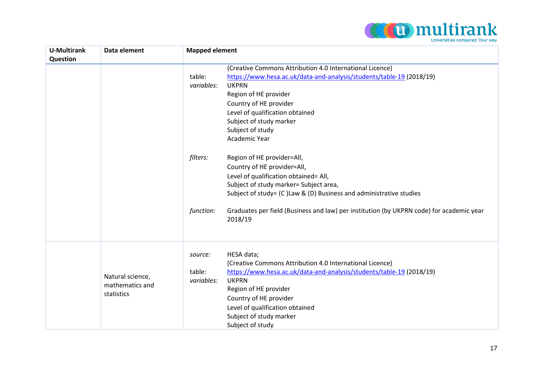

| <b>U-Multirank</b><br><b>Question</b> | Data element                                      | <b>Mapped element</b>                                                                                                                                                                                                                                                                                                                                                                                                                                                                                                                                                                                                                                                                 |  |
|---------------------------------------|---------------------------------------------------|---------------------------------------------------------------------------------------------------------------------------------------------------------------------------------------------------------------------------------------------------------------------------------------------------------------------------------------------------------------------------------------------------------------------------------------------------------------------------------------------------------------------------------------------------------------------------------------------------------------------------------------------------------------------------------------|--|
|                                       |                                                   | (Creative Commons Attribution 4.0 International Licence)<br>https://www.hesa.ac.uk/data-and-analysis/students/table-19 (2018/19)<br>table:<br><b>UKPRN</b><br>variables:<br>Region of HE provider<br>Country of HE provider<br>Level of qualification obtained<br>Subject of study marker<br>Subject of study<br>Academic Year<br>filters:<br>Region of HE provider=All,<br>Country of HE provider=All,<br>Level of qualification obtained= All,<br>Subject of study marker= Subject area,<br>Subject of study= (C) Law & (D) Business and administrative studies<br>Graduates per field (Business and law) per institution (by UKPRN code) for academic year<br>function:<br>2018/19 |  |
|                                       | Natural science,<br>mathematics and<br>statistics | HESA data;<br>source:<br>(Creative Commons Attribution 4.0 International Licence)<br>https://www.hesa.ac.uk/data-and-analysis/students/table-19 (2018/19)<br>table:<br><b>UKPRN</b><br>variables:<br>Region of HE provider<br>Country of HE provider<br>Level of qualification obtained<br>Subject of study marker<br>Subject of study                                                                                                                                                                                                                                                                                                                                                |  |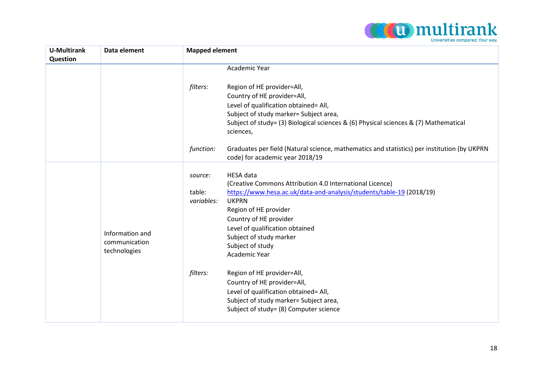

| <b>U-Multirank</b><br>Question | Data element    | <b>Mapped element</b>                                                                                                                       |  |
|--------------------------------|-----------------|---------------------------------------------------------------------------------------------------------------------------------------------|--|
|                                |                 | Academic Year                                                                                                                               |  |
|                                |                 | filters:<br>Region of HE provider=All,                                                                                                      |  |
|                                |                 | Country of HE provider=All,                                                                                                                 |  |
|                                |                 | Level of qualification obtained= All,                                                                                                       |  |
|                                |                 | Subject of study marker= Subject area,                                                                                                      |  |
|                                |                 | Subject of study= (3) Biological sciences & (6) Physical sciences & (7) Mathematical<br>sciences,                                           |  |
|                                |                 | function:<br>Graduates per field (Natural science, mathematics and statistics) per institution (by UKPRN<br>code) for academic year 2018/19 |  |
|                                |                 | <b>HESA</b> data<br>source:                                                                                                                 |  |
|                                |                 | (Creative Commons Attribution 4.0 International Licence)                                                                                    |  |
|                                |                 | https://www.hesa.ac.uk/data-and-analysis/students/table-19 (2018/19)<br>table:                                                              |  |
|                                |                 | variables:<br><b>UKPRN</b>                                                                                                                  |  |
|                                |                 | Region of HE provider                                                                                                                       |  |
|                                |                 | Country of HE provider                                                                                                                      |  |
|                                | Information and | Level of qualification obtained<br>Subject of study marker                                                                                  |  |
|                                | communication   | Subject of study                                                                                                                            |  |
|                                | technologies    | Academic Year                                                                                                                               |  |
|                                |                 | filters:<br>Region of HE provider=All,                                                                                                      |  |
|                                |                 | Country of HE provider=All,                                                                                                                 |  |
|                                |                 | Level of qualification obtained= All,                                                                                                       |  |
|                                |                 | Subject of study marker= Subject area,                                                                                                      |  |
|                                |                 | Subject of study= (8) Computer science                                                                                                      |  |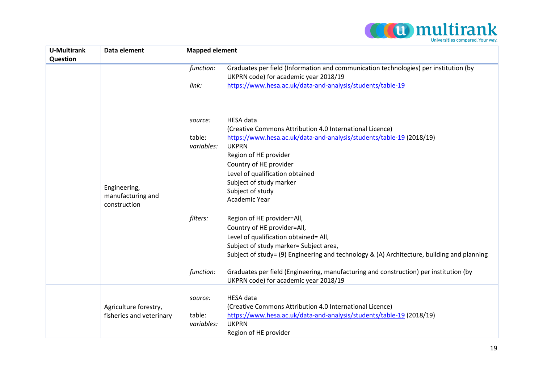

| <b>U-Multirank</b> | Data element             | <b>Mapped element</b>                                                                              |  |
|--------------------|--------------------------|----------------------------------------------------------------------------------------------------|--|
| Question           |                          |                                                                                                    |  |
|                    |                          | Graduates per field (Information and communication technologies) per institution (by<br>function:  |  |
|                    |                          | UKPRN code) for academic year 2018/19                                                              |  |
|                    |                          | https://www.hesa.ac.uk/data-and-analysis/students/table-19<br>link:                                |  |
|                    |                          |                                                                                                    |  |
|                    |                          | <b>HESA</b> data<br>source:                                                                        |  |
|                    |                          | (Creative Commons Attribution 4.0 International Licence)                                           |  |
|                    |                          | https://www.hesa.ac.uk/data-and-analysis/students/table-19 (2018/19)<br>table:                     |  |
|                    |                          | <b>UKPRN</b><br>variables:                                                                         |  |
|                    |                          | Region of HE provider                                                                              |  |
|                    |                          | Country of HE provider                                                                             |  |
|                    |                          | Level of qualification obtained                                                                    |  |
|                    |                          | Subject of study marker                                                                            |  |
|                    | Engineering,             | Subject of study                                                                                   |  |
|                    | manufacturing and        | <b>Academic Year</b>                                                                               |  |
|                    | construction             |                                                                                                    |  |
|                    |                          | filters:<br>Region of HE provider=All,                                                             |  |
|                    |                          | Country of HE provider=All,                                                                        |  |
|                    |                          | Level of qualification obtained= All,                                                              |  |
|                    |                          | Subject of study marker= Subject area,                                                             |  |
|                    |                          | Subject of study= (9) Engineering and technology & (A) Architecture, building and planning         |  |
|                    |                          | Graduates per field (Engineering, manufacturing and construction) per institution (by<br>function: |  |
|                    |                          | UKPRN code) for academic year 2018/19                                                              |  |
|                    |                          |                                                                                                    |  |
|                    |                          | <b>HESA</b> data<br>source:                                                                        |  |
|                    | Agriculture forestry,    | (Creative Commons Attribution 4.0 International Licence)                                           |  |
|                    | fisheries and veterinary | https://www.hesa.ac.uk/data-and-analysis/students/table-19 (2018/19)<br>table:                     |  |
|                    |                          | <b>UKPRN</b><br>variables:                                                                         |  |
|                    |                          | Region of HE provider                                                                              |  |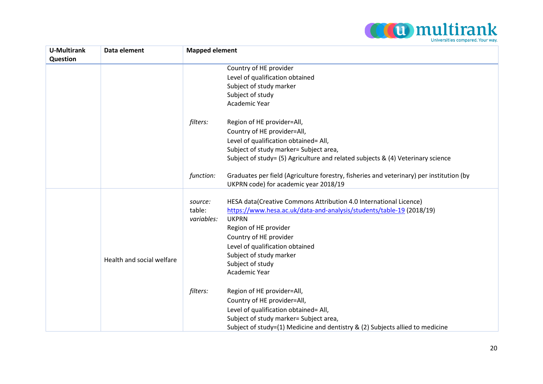

| <b>U-Multirank</b><br>Question | Data element              | <b>Mapped element</b>                                                                                 |  |
|--------------------------------|---------------------------|-------------------------------------------------------------------------------------------------------|--|
|                                |                           | Country of HE provider                                                                                |  |
|                                |                           | Level of qualification obtained                                                                       |  |
|                                |                           | Subject of study marker                                                                               |  |
|                                |                           | Subject of study                                                                                      |  |
|                                |                           | Academic Year                                                                                         |  |
|                                |                           | filters:<br>Region of HE provider=All,                                                                |  |
|                                |                           | Country of HE provider=All,                                                                           |  |
|                                |                           | Level of qualification obtained= All,                                                                 |  |
|                                |                           | Subject of study marker= Subject area,                                                                |  |
|                                |                           | Subject of study= (5) Agriculture and related subjects & (4) Veterinary science                       |  |
|                                |                           | Graduates per field (Agriculture forestry, fisheries and veterinary) per institution (by<br>function: |  |
|                                |                           | UKPRN code) for academic year 2018/19                                                                 |  |
|                                |                           | HESA data(Creative Commons Attribution 4.0 International Licence)<br>source:                          |  |
|                                |                           | https://www.hesa.ac.uk/data-and-analysis/students/table-19 (2018/19)<br>table:                        |  |
|                                |                           | <b>UKPRN</b><br>variables:                                                                            |  |
|                                |                           | Region of HE provider                                                                                 |  |
|                                |                           | Country of HE provider                                                                                |  |
|                                |                           | Level of qualification obtained                                                                       |  |
|                                |                           | Subject of study marker                                                                               |  |
|                                | Health and social welfare | Subject of study                                                                                      |  |
|                                |                           | Academic Year                                                                                         |  |
|                                |                           | filters:<br>Region of HE provider=All,                                                                |  |
|                                |                           | Country of HE provider=All,                                                                           |  |
|                                |                           | Level of qualification obtained= All,                                                                 |  |
|                                |                           | Subject of study marker= Subject area,                                                                |  |
|                                |                           | Subject of study=(1) Medicine and dentistry & (2) Subjects allied to medicine                         |  |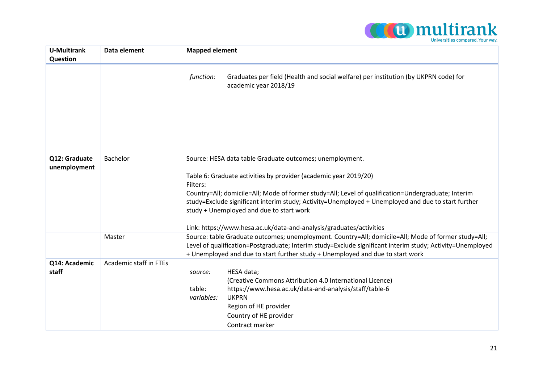

| <b>U-Multirank</b>            | Data element           | <b>Mapped element</b>                                                                                                                                                                                                                                                                                                                                                                                                                                                   |  |
|-------------------------------|------------------------|-------------------------------------------------------------------------------------------------------------------------------------------------------------------------------------------------------------------------------------------------------------------------------------------------------------------------------------------------------------------------------------------------------------------------------------------------------------------------|--|
| Question                      |                        |                                                                                                                                                                                                                                                                                                                                                                                                                                                                         |  |
|                               |                        | Graduates per field (Health and social welfare) per institution (by UKPRN code) for<br>function:<br>academic year 2018/19                                                                                                                                                                                                                                                                                                                                               |  |
| Q12: Graduate<br>unemployment | Bachelor               | Source: HESA data table Graduate outcomes; unemployment.<br>Table 6: Graduate activities by provider (academic year 2019/20)<br>Filters:<br>Country=All; domicile=All; Mode of former study=All; Level of qualification=Undergraduate; Interim<br>study=Exclude significant interim study; Activity=Unemployed + Unemployed and due to start further<br>study + Unemployed and due to start work<br>Link: https://www.hesa.ac.uk/data-and-analysis/graduates/activities |  |
|                               | Master                 | Source: table Graduate outcomes; unemployment. Country=All; domicile=All; Mode of former study=All;<br>Level of qualification=Postgraduate; Interim study=Exclude significant interim study; Activity=Unemployed<br>+ Unemployed and due to start further study + Unemployed and due to start work                                                                                                                                                                      |  |
| Q14: Academic<br>staff        | Academic staff in FTEs | HESA data;<br>source:<br>(Creative Commons Attribution 4.0 International Licence)<br>https://www.hesa.ac.uk/data-and-analysis/staff/table-6<br>table:<br><b>UKPRN</b><br>variables:<br>Region of HE provider<br>Country of HE provider<br>Contract marker                                                                                                                                                                                                               |  |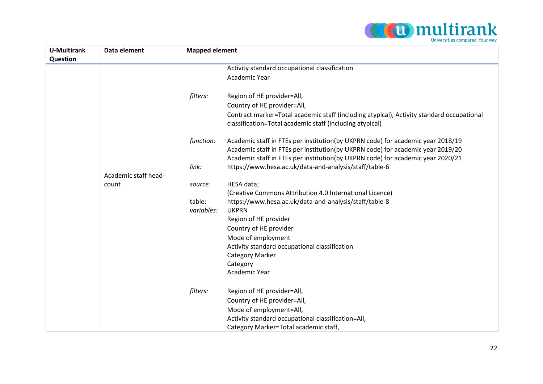

| <b>Mapped element</b>                                                                                                                                                                                                                                 |  |
|-------------------------------------------------------------------------------------------------------------------------------------------------------------------------------------------------------------------------------------------------------|--|
|                                                                                                                                                                                                                                                       |  |
|                                                                                                                                                                                                                                                       |  |
|                                                                                                                                                                                                                                                       |  |
|                                                                                                                                                                                                                                                       |  |
| Contract marker=Total academic staff (including atypical), Activity standard occupational                                                                                                                                                             |  |
| Academic staff in FTEs per institution(by UKPRN code) for academic year 2018/19<br>Academic staff in FTEs per institution(by UKPRN code) for academic year 2019/20<br>Academic staff in FTEs per institution(by UKPRN code) for academic year 2020/21 |  |
|                                                                                                                                                                                                                                                       |  |
|                                                                                                                                                                                                                                                       |  |
|                                                                                                                                                                                                                                                       |  |
|                                                                                                                                                                                                                                                       |  |
|                                                                                                                                                                                                                                                       |  |
|                                                                                                                                                                                                                                                       |  |
|                                                                                                                                                                                                                                                       |  |
|                                                                                                                                                                                                                                                       |  |
|                                                                                                                                                                                                                                                       |  |
|                                                                                                                                                                                                                                                       |  |
|                                                                                                                                                                                                                                                       |  |
|                                                                                                                                                                                                                                                       |  |
|                                                                                                                                                                                                                                                       |  |
|                                                                                                                                                                                                                                                       |  |
|                                                                                                                                                                                                                                                       |  |
|                                                                                                                                                                                                                                                       |  |
|                                                                                                                                                                                                                                                       |  |
|                                                                                                                                                                                                                                                       |  |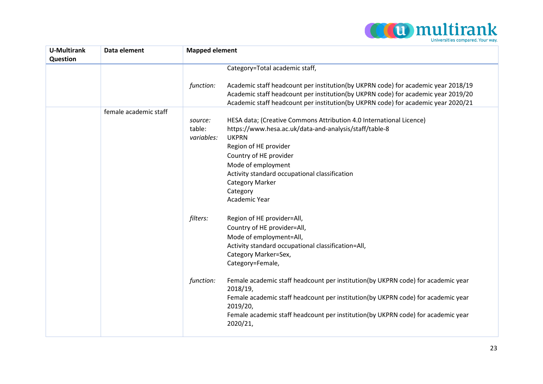

| <b>U-Multirank</b><br>Question | Data element          | <b>Mapped element</b>           |                                                                                                                                                                                                                                                             |
|--------------------------------|-----------------------|---------------------------------|-------------------------------------------------------------------------------------------------------------------------------------------------------------------------------------------------------------------------------------------------------------|
|                                |                       |                                 | Category=Total academic staff,                                                                                                                                                                                                                              |
|                                |                       | function:                       | Academic staff headcount per institution(by UKPRN code) for academic year 2018/19<br>Academic staff headcount per institution(by UKPRN code) for academic year 2019/20<br>Academic staff headcount per institution(by UKPRN code) for academic year 2020/21 |
|                                | female academic staff |                                 |                                                                                                                                                                                                                                                             |
|                                |                       | source:<br>table:<br>variables: | HESA data; (Creative Commons Attribution 4.0 International Licence)<br>https://www.hesa.ac.uk/data-and-analysis/staff/table-8<br><b>UKPRN</b><br>Region of HE provider                                                                                      |
|                                |                       |                                 | Country of HE provider                                                                                                                                                                                                                                      |
|                                |                       |                                 | Mode of employment                                                                                                                                                                                                                                          |
|                                |                       |                                 | Activity standard occupational classification                                                                                                                                                                                                               |
|                                |                       |                                 | <b>Category Marker</b>                                                                                                                                                                                                                                      |
|                                |                       |                                 | Category                                                                                                                                                                                                                                                    |
|                                |                       |                                 | Academic Year                                                                                                                                                                                                                                               |
|                                |                       | filters:                        | Region of HE provider=All,                                                                                                                                                                                                                                  |
|                                |                       |                                 | Country of HE provider=All,                                                                                                                                                                                                                                 |
|                                |                       |                                 | Mode of employment=All,                                                                                                                                                                                                                                     |
|                                |                       |                                 | Activity standard occupational classification=All,                                                                                                                                                                                                          |
|                                |                       |                                 | Category Marker=Sex,                                                                                                                                                                                                                                        |
|                                |                       |                                 | Category=Female,                                                                                                                                                                                                                                            |
|                                |                       | function:                       | Female academic staff headcount per institution(by UKPRN code) for academic year<br>2018/19,<br>Female academic staff headcount per institution(by UKPRN code) for academic year<br>2019/20,                                                                |
|                                |                       |                                 | Female academic staff headcount per institution(by UKPRN code) for academic year<br>2020/21,                                                                                                                                                                |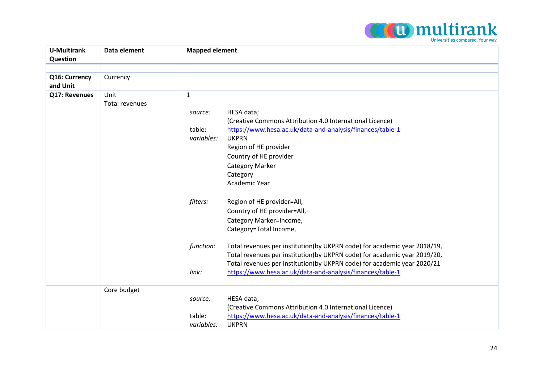

| <b>U-Multirank</b> | Data element          | <b>Mapped element</b>                                                                 |
|--------------------|-----------------------|---------------------------------------------------------------------------------------|
| Question           |                       |                                                                                       |
|                    |                       |                                                                                       |
| Q16: Currency      | Currency              |                                                                                       |
| and Unit           |                       |                                                                                       |
| Q17: Revenues      | Unit                  | $\mathbf{1}$                                                                          |
|                    | <b>Total revenues</b> |                                                                                       |
|                    |                       | HESA data;<br>source:                                                                 |
|                    |                       | (Creative Commons Attribution 4.0 International Licence)                              |
|                    |                       | table:<br>https://www.hesa.ac.uk/data-and-analysis/finances/table-1                   |
|                    |                       | <b>UKPRN</b><br>variables:                                                            |
|                    |                       | Region of HE provider                                                                 |
|                    |                       | Country of HE provider                                                                |
|                    |                       | <b>Category Marker</b>                                                                |
|                    |                       | Category                                                                              |
|                    |                       | Academic Year                                                                         |
|                    |                       | filters:<br>Region of HE provider=All,                                                |
|                    |                       | Country of HE provider=All,                                                           |
|                    |                       | Category Marker=Income,                                                               |
|                    |                       | Category=Total Income,                                                                |
|                    |                       | function:<br>Total revenues per institution(by UKPRN code) for academic year 2018/19, |
|                    |                       | Total revenues per institution(by UKPRN code) for academic year 2019/20,              |
|                    |                       | Total revenues per institution(by UKPRN code) for academic year 2020/21               |
|                    |                       | https://www.hesa.ac.uk/data-and-analysis/finances/table-1<br>link:                    |
|                    | Core budget           |                                                                                       |
|                    |                       | HESA data;<br>source:                                                                 |
|                    |                       | (Creative Commons Attribution 4.0 International Licence)                              |
|                    |                       | https://www.hesa.ac.uk/data-and-analysis/finances/table-1<br>table:                   |
|                    |                       | <b>UKPRN</b><br>variables:                                                            |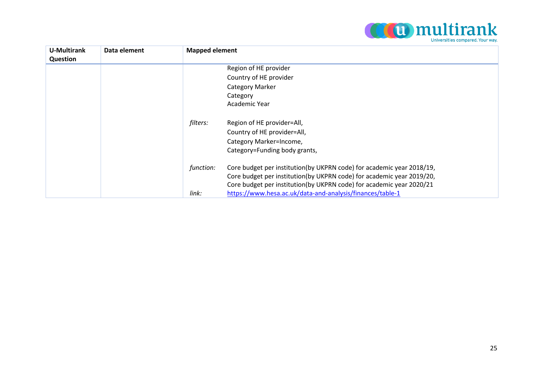

| <b>U-Multirank</b><br>Question | Data element | <b>Mapped element</b> |                                                                       |
|--------------------------------|--------------|-----------------------|-----------------------------------------------------------------------|
|                                |              |                       | Region of HE provider                                                 |
|                                |              |                       | Country of HE provider                                                |
|                                |              |                       | Category Marker                                                       |
|                                |              |                       | Category                                                              |
|                                |              |                       | Academic Year                                                         |
|                                |              | filters:              | Region of HE provider=All,                                            |
|                                |              |                       | Country of HE provider=All,                                           |
|                                |              |                       | Category Marker=Income,                                               |
|                                |              |                       | Category=Funding body grants,                                         |
|                                |              | function:             | Core budget per institution(by UKPRN code) for academic year 2018/19, |
|                                |              |                       | Core budget per institution(by UKPRN code) for academic year 2019/20, |
|                                |              |                       | Core budget per institution(by UKPRN code) for academic year 2020/21  |
|                                |              | link:                 | https://www.hesa.ac.uk/data-and-analysis/finances/table-1             |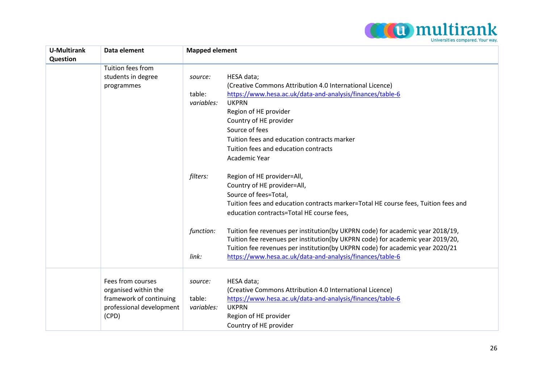

| <b>U-Multirank</b><br>Question | Data element                                                                                              | <b>Mapped element</b>                                                                                                                                                                                                                                                                                                                                                                                              |  |
|--------------------------------|-----------------------------------------------------------------------------------------------------------|--------------------------------------------------------------------------------------------------------------------------------------------------------------------------------------------------------------------------------------------------------------------------------------------------------------------------------------------------------------------------------------------------------------------|--|
|                                | Tuition fees from                                                                                         |                                                                                                                                                                                                                                                                                                                                                                                                                    |  |
|                                | students in degree<br>programmes                                                                          | HESA data;<br>source:<br>(Creative Commons Attribution 4.0 International Licence)<br>https://www.hesa.ac.uk/data-and-analysis/finances/table-6<br>table:<br><b>UKPRN</b><br>variables:<br>Region of HE provider<br>Country of HE provider<br>Source of fees<br>Tuition fees and education contracts marker<br>Tuition fees and education contracts<br>Academic Year                                                |  |
|                                |                                                                                                           | filters:<br>Region of HE provider=All,<br>Country of HE provider=All,<br>Source of fees=Total,<br>Tuition fees and education contracts marker=Total HE course fees, Tuition fees and<br>education contracts=Total HE course fees,<br>Tuition fee revenues per institution(by UKPRN code) for academic year 2018/19,<br>function:<br>Tuition fee revenues per institution(by UKPRN code) for academic year 2019/20, |  |
|                                |                                                                                                           | Tuition fee revenues per institution(by UKPRN code) for academic year 2020/21<br>link:<br>https://www.hesa.ac.uk/data-and-analysis/finances/table-6                                                                                                                                                                                                                                                                |  |
|                                | Fees from courses<br>organised within the<br>framework of continuing<br>professional development<br>(CPD) | HESA data;<br>source:<br>(Creative Commons Attribution 4.0 International Licence)<br>https://www.hesa.ac.uk/data-and-analysis/finances/table-6<br>table:<br><b>UKPRN</b><br>variables:<br>Region of HE provider<br>Country of HE provider                                                                                                                                                                          |  |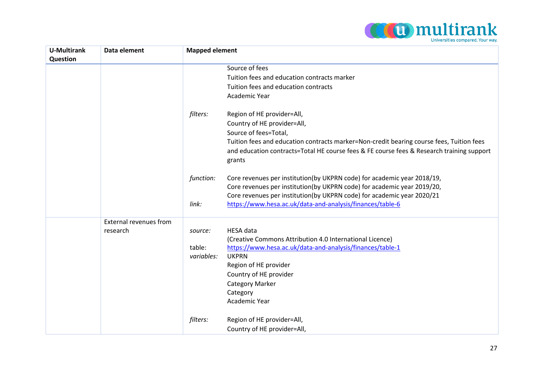

| <b>U-Multirank</b> | Data element           | <b>Mapped element</b> |                                                                                           |
|--------------------|------------------------|-----------------------|-------------------------------------------------------------------------------------------|
| Question           |                        |                       |                                                                                           |
|                    |                        |                       | Source of fees                                                                            |
|                    |                        |                       | Tuition fees and education contracts marker                                               |
|                    |                        |                       | Tuition fees and education contracts                                                      |
|                    |                        |                       | Academic Year                                                                             |
|                    |                        | filters:              | Region of HE provider=All,                                                                |
|                    |                        |                       | Country of HE provider=All,                                                               |
|                    |                        |                       | Source of fees=Total,                                                                     |
|                    |                        |                       | Tuition fees and education contracts marker=Non-credit bearing course fees, Tuition fees  |
|                    |                        |                       | and education contracts=Total HE course fees & FE course fees & Research training support |
|                    |                        |                       | grants                                                                                    |
|                    |                        |                       |                                                                                           |
|                    |                        | function:             | Core revenues per institution(by UKPRN code) for academic year 2018/19,                   |
|                    |                        |                       | Core revenues per institution(by UKPRN code) for academic year 2019/20,                   |
|                    |                        |                       | Core revenues per institution(by UKPRN code) for academic year 2020/21                    |
|                    |                        | link:                 | https://www.hesa.ac.uk/data-and-analysis/finances/table-6                                 |
|                    | External revenues from |                       |                                                                                           |
|                    | research               | source:               | <b>HESA</b> data                                                                          |
|                    |                        |                       | (Creative Commons Attribution 4.0 International Licence)                                  |
|                    |                        | table:                | https://www.hesa.ac.uk/data-and-analysis/finances/table-1                                 |
|                    |                        | variables:            | <b>UKPRN</b>                                                                              |
|                    |                        |                       | Region of HE provider                                                                     |
|                    |                        |                       | Country of HE provider                                                                    |
|                    |                        |                       | <b>Category Marker</b>                                                                    |
|                    |                        |                       | Category                                                                                  |
|                    |                        |                       | Academic Year                                                                             |
|                    |                        | filters:              | Region of HE provider=All,                                                                |
|                    |                        |                       | Country of HE provider=All,                                                               |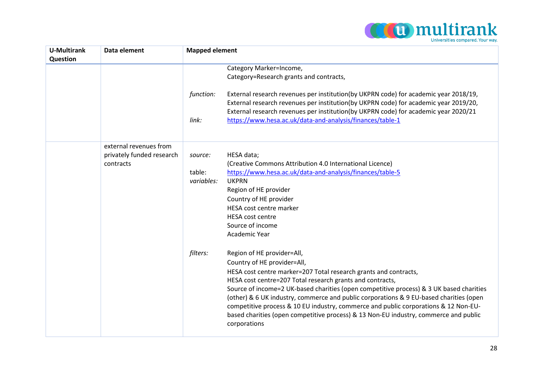

| <b>U-Multirank</b><br>Question | Data element              | <b>Mapped element</b>      |                                                                                                                                                                                                                                                                                                                                                                  |
|--------------------------------|---------------------------|----------------------------|------------------------------------------------------------------------------------------------------------------------------------------------------------------------------------------------------------------------------------------------------------------------------------------------------------------------------------------------------------------|
|                                |                           |                            | Category Marker=Income,                                                                                                                                                                                                                                                                                                                                          |
|                                |                           |                            | Category=Research grants and contracts,                                                                                                                                                                                                                                                                                                                          |
|                                |                           | function:                  | External research revenues per institution(by UKPRN code) for academic year 2018/19,<br>External research revenues per institution(by UKPRN code) for academic year 2019/20,<br>External research revenues per institution(by UKPRN code) for academic year 2020/21                                                                                              |
|                                |                           | link:                      | https://www.hesa.ac.uk/data-and-analysis/finances/table-1                                                                                                                                                                                                                                                                                                        |
|                                | external revenues from    |                            |                                                                                                                                                                                                                                                                                                                                                                  |
|                                | privately funded research | HESA data;<br>source:      |                                                                                                                                                                                                                                                                                                                                                                  |
|                                | contracts                 |                            | (Creative Commons Attribution 4.0 International Licence)                                                                                                                                                                                                                                                                                                         |
|                                |                           | table:                     | https://www.hesa.ac.uk/data-and-analysis/finances/table-5                                                                                                                                                                                                                                                                                                        |
|                                |                           | <b>UKPRN</b><br>variables: |                                                                                                                                                                                                                                                                                                                                                                  |
|                                |                           |                            | Region of HE provider                                                                                                                                                                                                                                                                                                                                            |
|                                |                           |                            | Country of HE provider                                                                                                                                                                                                                                                                                                                                           |
|                                |                           |                            | HESA cost centre marker                                                                                                                                                                                                                                                                                                                                          |
|                                |                           | <b>HESA cost centre</b>    |                                                                                                                                                                                                                                                                                                                                                                  |
|                                |                           | Source of income           |                                                                                                                                                                                                                                                                                                                                                                  |
|                                |                           | Academic Year              |                                                                                                                                                                                                                                                                                                                                                                  |
|                                |                           | filters:                   | Region of HE provider=All,                                                                                                                                                                                                                                                                                                                                       |
|                                |                           |                            | Country of HE provider=All,                                                                                                                                                                                                                                                                                                                                      |
|                                |                           |                            | HESA cost centre marker=207 Total research grants and contracts,                                                                                                                                                                                                                                                                                                 |
|                                |                           |                            | HESA cost centre=207 Total research grants and contracts,                                                                                                                                                                                                                                                                                                        |
|                                |                           | corporations               | Source of income=2 UK-based charities (open competitive process) & 3 UK based charities<br>(other) & 6 UK industry, commerce and public corporations & 9 EU-based charities (open<br>competitive process & 10 EU industry, commerce and public corporations & 12 Non-EU-<br>based charities (open competitive process) & 13 Non-EU industry, commerce and public |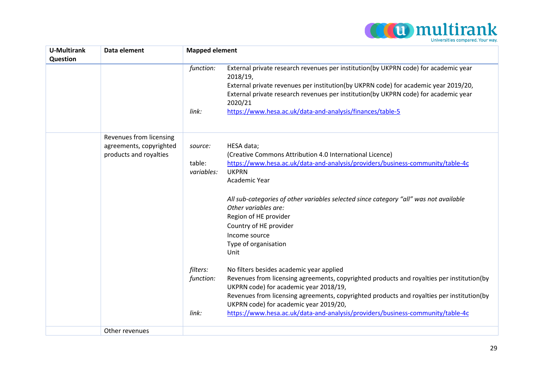

| <b>U-Multirank</b><br>Question | Data element            | <b>Mapped element</b> |                                                                                                                                                                                                                                                                                                                                                       |  |
|--------------------------------|-------------------------|-----------------------|-------------------------------------------------------------------------------------------------------------------------------------------------------------------------------------------------------------------------------------------------------------------------------------------------------------------------------------------------------|--|
|                                |                         | function:<br>link:    | External private research revenues per institution(by UKPRN code) for academic year<br>2018/19,<br>External private revenues per institution(by UKPRN code) for academic year 2019/20,<br>External private research revenues per institution(by UKPRN code) for academic year<br>2020/21<br>https://www.hesa.ac.uk/data-and-analysis/finances/table-5 |  |
|                                | Revenues from licensing |                       |                                                                                                                                                                                                                                                                                                                                                       |  |
|                                | agreements, copyrighted | source:               | HESA data;                                                                                                                                                                                                                                                                                                                                            |  |
|                                | products and royalties  | table:                | (Creative Commons Attribution 4.0 International Licence)<br>https://www.hesa.ac.uk/data-and-analysis/providers/business-community/table-4c                                                                                                                                                                                                            |  |
|                                |                         | variables:            | <b>UKPRN</b>                                                                                                                                                                                                                                                                                                                                          |  |
|                                |                         |                       | Academic Year                                                                                                                                                                                                                                                                                                                                         |  |
|                                |                         |                       | All sub-categories of other variables selected since category "all" was not available<br>Other variables are:<br>Region of HE provider                                                                                                                                                                                                                |  |
|                                |                         |                       | Country of HE provider                                                                                                                                                                                                                                                                                                                                |  |
|                                |                         |                       | Income source                                                                                                                                                                                                                                                                                                                                         |  |
|                                |                         |                       | Type of organisation                                                                                                                                                                                                                                                                                                                                  |  |
|                                |                         |                       | Unit                                                                                                                                                                                                                                                                                                                                                  |  |
|                                |                         | filters:<br>function: | No filters besides academic year applied<br>Revenues from licensing agreements, copyrighted products and royalties per institution(by<br>UKPRN code) for academic year 2018/19,<br>Revenues from licensing agreements, copyrighted products and royalties per institution(by<br>UKPRN code) for academic year 2019/20,                                |  |
|                                |                         | link:                 | https://www.hesa.ac.uk/data-and-analysis/providers/business-community/table-4c                                                                                                                                                                                                                                                                        |  |
|                                | Other revenues          |                       |                                                                                                                                                                                                                                                                                                                                                       |  |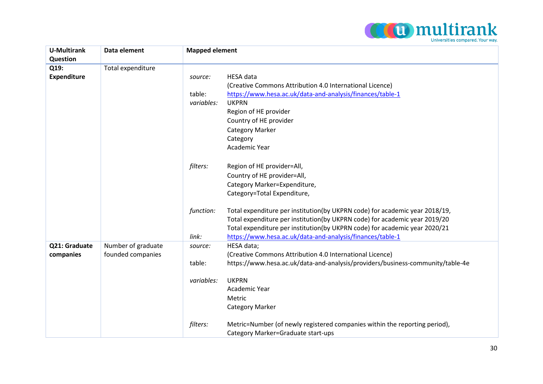

| <b>U-Multirank</b> | Data element       | <b>Mapped element</b> |                                                                                |
|--------------------|--------------------|-----------------------|--------------------------------------------------------------------------------|
| <b>Question</b>    |                    |                       |                                                                                |
| Q19:               | Total expenditure  |                       |                                                                                |
| <b>Expenditure</b> |                    | source:               | <b>HESA</b> data                                                               |
|                    |                    |                       | (Creative Commons Attribution 4.0 International Licence)                       |
|                    |                    | table:                | https://www.hesa.ac.uk/data-and-analysis/finances/table-1                      |
|                    |                    | variables:            | <b>UKPRN</b>                                                                   |
|                    |                    |                       | Region of HE provider                                                          |
|                    |                    |                       | Country of HE provider                                                         |
|                    |                    |                       | <b>Category Marker</b>                                                         |
|                    |                    |                       | Category                                                                       |
|                    |                    |                       | Academic Year                                                                  |
|                    |                    |                       |                                                                                |
|                    |                    | filters:              | Region of HE provider=All,                                                     |
|                    |                    |                       | Country of HE provider=All,                                                    |
|                    |                    |                       | Category Marker=Expenditure,                                                   |
|                    |                    |                       | Category=Total Expenditure,                                                    |
|                    |                    | function:             | Total expenditure per institution(by UKPRN code) for academic year 2018/19,    |
|                    |                    |                       | Total expenditure per institution(by UKPRN code) for academic year 2019/20     |
|                    |                    |                       | Total expenditure per institution(by UKPRN code) for academic year 2020/21     |
|                    |                    | link:                 | https://www.hesa.ac.uk/data-and-analysis/finances/table-1                      |
| Q21: Graduate      | Number of graduate | source:               | HESA data;                                                                     |
| companies          | founded companies  |                       | (Creative Commons Attribution 4.0 International Licence)                       |
|                    |                    | table:                | https://www.hesa.ac.uk/data-and-analysis/providers/business-community/table-4e |
|                    |                    | variables:            | <b>UKPRN</b>                                                                   |
|                    |                    |                       | Academic Year                                                                  |
|                    |                    |                       | Metric                                                                         |
|                    |                    |                       | <b>Category Marker</b>                                                         |
|                    |                    |                       |                                                                                |
|                    |                    | filters:              | Metric=Number (of newly registered companies within the reporting period),     |
|                    |                    |                       | Category Marker=Graduate start-ups                                             |